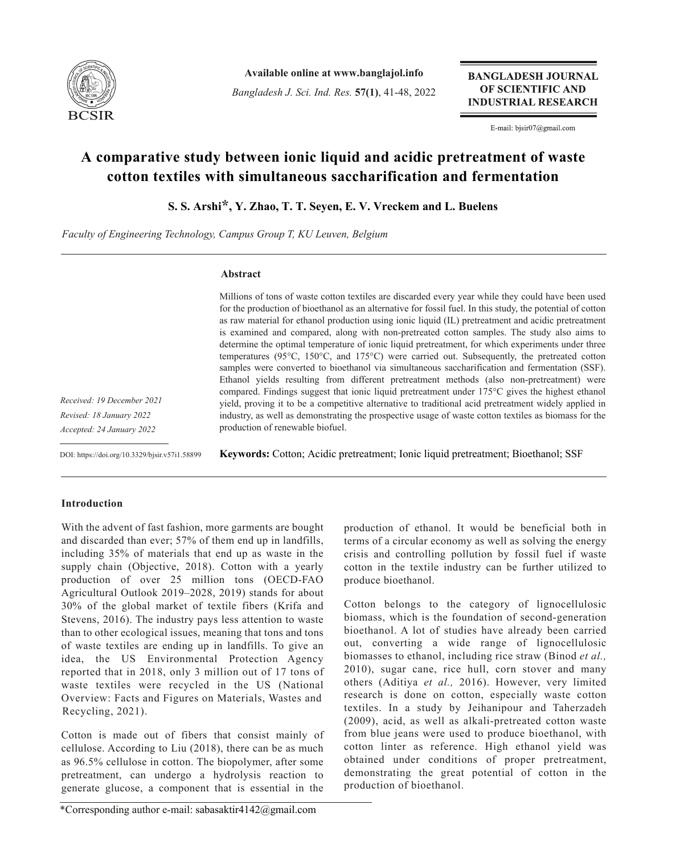

**Available online at www.banglajol.info**

*Bangladesh J. Sci. Ind. Res.* **57(1)**, 41-48, 2022

**BANGLADESH JOURNAL** OF SCIENTIFIC AND **INDUSTRIAL RESEARCH** 

E-mail: bjsir07@gmail.com

# **A comparative study between ionic liquid and acidic pretreatment of waste cotton textiles with simultaneous saccharification and fermentation**

**S. S. Arshi\*, Y. Zhao, T. T. Seyen, E. V. Vreckem and L. Buelens**

*Faculty of Engineering Technology, Campus Group T, KU Leuven, Belgium*

# **Abstract**

Millions of tons of waste cotton textiles are discarded every year while they could have been used for the production of bioethanol as an alternative for fossil fuel. In this study, the potential of cotton as raw material for ethanol production using ionic liquid (IL) pretreatment and acidic pretreatment is examined and compared, along with non-pretreated cotton samples. The study also aims to determine the optimal temperature of ionic liquid pretreatment, for which experiments under three temperatures (95°C, 150°C, and 175°C) were carried out. Subsequently, the pretreated cotton samples were converted to bioethanol via simultaneous saccharification and fermentation (SSF). Ethanol yields resulting from different pretreatment methods (also non-pretreatment) were compared. Findings suggest that ionic liquid pretreatment under 175°C gives the highest ethanol yield, proving it to be a competitive alternative to traditional acid pretreatment widely applied in industry, as well as demonstrating the prospective usage of waste cotton textiles as biomass for the production of renewable biofuel.

*Received: 19 December 2021 Revised: 18 January 2022 Accepted: 24 January 2022*

DOI: https://doi.org/10.3329/bjsir.v57i1.58899

**Keywords:** Cotton; Acidic pretreatment; Ionic liquid pretreatment; Bioethanol; SSF

# **Introduction**

With the advent of fast fashion, more garments are bought and discarded than ever; 57% of them end up in landfills, including 35% of materials that end up as waste in the supply chain (Objective, 2018). Cotton with a yearly production of over 25 million tons (OECD-FAO Agricultural Outlook 2019–2028, 2019) stands for about 30% of the global market of textile fibers (Krifa and Stevens, 2016). The industry pays less attention to waste than to other ecological issues, meaning that tons and tons of waste textiles are ending up in landfills. To give an idea, the US Environmental Protection Agency reported that in 2018, only 3 million out of 17 tons of waste textiles were recycled in the US (National Overview: Facts and Figures on Materials, Wastes and Recycling, 2021).

Cotton is made out of fibers that consist mainly of cellulose. According to Liu (2018), there can be as much as 96.5% cellulose in cotton. The biopolymer, after some pretreatment, can undergo a hydrolysis reaction to generate glucose, a component that is essential in the

production of ethanol. It would be beneficial both in terms of a circular economy as well as solving the energy crisis and controlling pollution by fossil fuel if waste cotton in the textile industry can be further utilized to produce bioethanol.

Cotton belongs to the category of lignocellulosic biomass, which is the foundation of second-generation bioethanol. A lot of studies have already been carried out, converting a wide range of lignocellulosic biomasses to ethanol, including rice straw (Binod *et al.,* 2010), sugar cane, rice hull, corn stover and many others (Aditiya *et al.,* 2016). However, very limited research is done on cotton, especially waste cotton textiles. In a study by Jeihanipour and Taherzadeh (2009), acid, as well as alkali-pretreated cotton waste from blue jeans were used to produce bioethanol, with cotton linter as reference. High ethanol yield was obtained under conditions of proper pretreatment, demonstrating the great potential of cotton in the production of bioethanol.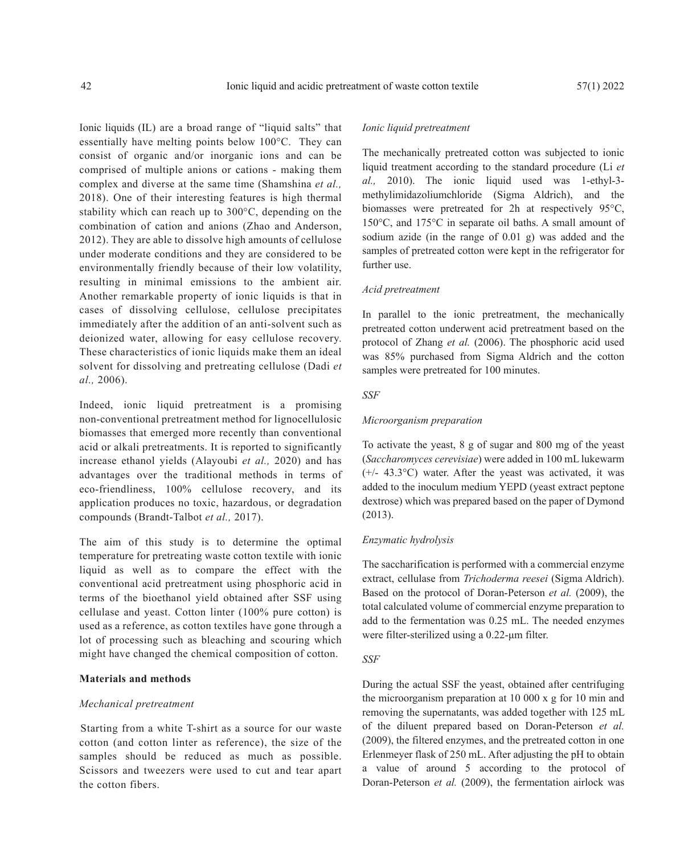Ionic liquids (IL) are a broad range of "liquid salts" that essentially have melting points below 100°C. They can consist of organic and/or inorganic ions and can be comprised of multiple anions or cations - making them complex and diverse at the same time (Shamshina *et al.,* 2018). One of their interesting features is high thermal stability which can reach up to 300°C, depending on the combination of cation and anions (Zhao and Anderson, 2012). They are able to dissolve high amounts of cellulose under moderate conditions and they are considered to be environmentally friendly because of their low volatility, resulting in minimal emissions to the ambient air. Another remarkable property of ionic liquids is that in cases of dissolving cellulose, cellulose precipitates immediately after the addition of an anti-solvent such as deionized water, allowing for easy cellulose recovery. These characteristics of ionic liquids make them an ideal solvent for dissolving and pretreating cellulose (Dadi *et al.,* 2006).

Indeed, ionic liquid pretreatment is a promising non-conventional pretreatment method for lignocellulosic biomasses that emerged more recently than conventional acid or alkali pretreatments. It is reported to significantly increase ethanol yields (Alayoubi *et al.,* 2020) and has advantages over the traditional methods in terms of eco-friendliness, 100% cellulose recovery, and its application produces no toxic, hazardous, or degradation compounds (Brandt-Talbot *et al.,* 2017).

The aim of this study is to determine the optimal temperature for pretreating waste cotton textile with ionic liquid as well as to compare the effect with the conventional acid pretreatment using phosphoric acid in terms of the bioethanol yield obtained after SSF using cellulase and yeast. Cotton linter (100% pure cotton) is used as a reference, as cotton textiles have gone through a lot of processing such as bleaching and scouring which might have changed the chemical composition of cotton.

#### **Materials and methods**

#### *Mechanical pretreatment*

Starting from a white T-shirt as a source for our waste cotton (and cotton linter as reference), the size of the samples should be reduced as much as possible. Scissors and tweezers were used to cut and tear apart the cotton fibers.

# *Ionic liquid pretreatment*

The mechanically pretreated cotton was subjected to ionic liquid treatment according to the standard procedure (Li *et al.,* 2010). The ionic liquid used was 1-ethyl-3 methylimidazoliumchloride (Sigma Aldrich), and the biomasses were pretreated for 2h at respectively 95°C, 150°C, and 175°C in separate oil baths. A small amount of sodium azide (in the range of 0.01 g) was added and the samples of pretreated cotton were kept in the refrigerator for further use.

# *Acid pretreatment*

In parallel to the ionic pretreatment, the mechanically pretreated cotton underwent acid pretreatment based on the protocol of Zhang *et al.* (2006). The phosphoric acid used was 85% purchased from Sigma Aldrich and the cotton samples were pretreated for 100 minutes.

## *SSF*

#### *Microorganism preparation*

To activate the yeast, 8 g of sugar and 800 mg of the yeast (*Saccharomyces cerevisiae*) were added in 100 mL lukewarm (+/- 43.3°C) water. After the yeast was activated, it was added to the inoculum medium YEPD (yeast extract peptone dextrose) which was prepared based on the paper of Dymond (2013).

# *Enzymatic hydrolysis*

The saccharification is performed with a commercial enzyme extract, cellulase from *Trichoderma reesei* (Sigma Aldrich). Based on the protocol of Doran-Peterson *et al.* (2009), the total calculated volume of commercial enzyme preparation to add to the fermentation was 0.25 mL. The needed enzymes were filter-sterilized using a 0.22-μm filter.

# *SSF*

During the actual SSF the yeast, obtained after centrifuging the microorganism preparation at 10 000 x g for 10 min and removing the supernatants, was added together with 125 mL of the diluent prepared based on Doran-Peterson *et al.* (2009), the filtered enzymes, and the pretreated cotton in one Erlenmeyer flask of 250 mL. After adjusting the pH to obtain a value of around 5 according to the protocol of Doran-Peterson *et al.* (2009), the fermentation airlock was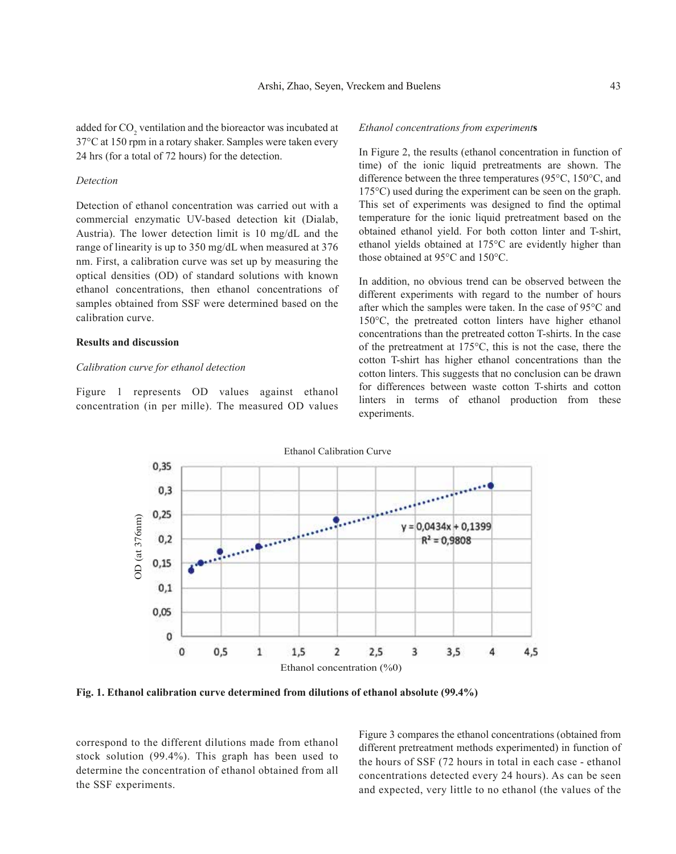added for  $\mathrm{CO}_2$  ventilation and the bioreactor was incubated at 37°C at 150 rpm in a rotary shaker. Samples were taken every 24 hrs (for a total of 72 hours) for the detection.

#### *Detection*

Detection of ethanol concentration was carried out with a commercial enzymatic UV-based detection kit (Dialab, Austria). The lower detection limit is 10 mg/dL and the range of linearity is up to 350 mg/dL when measured at 376 nm. First, a calibration curve was set up by measuring the optical densities (OD) of standard solutions with known ethanol concentrations, then ethanol concentrations of samples obtained from SSF were determined based on the calibration curve.

## **Results and discussion**

#### *Calibration curve for ethanol detection*

Figure 1 represents OD values against ethanol concentration (in per mille). The measured OD values

## *Ethanol concentrations from experiment***s**

In Figure 2, the results (ethanol concentration in function of time) of the ionic liquid pretreatments are shown. The difference between the three temperatures (95°C, 150°C, and 175°C) used during the experiment can be seen on the graph. This set of experiments was designed to find the optimal temperature for the ionic liquid pretreatment based on the obtained ethanol yield. For both cotton linter and T-shirt, ethanol yields obtained at 175°C are evidently higher than those obtained at 95°C and 150°C.

In addition, no obvious trend can be observed between the different experiments with regard to the number of hours after which the samples were taken. In the case of 95°C and 150°C, the pretreated cotton linters have higher ethanol concentrations than the pretreated cotton T-shirts. In the case of the pretreatment at 175°C, this is not the case, there the cotton T-shirt has higher ethanol concentrations than the cotton linters. This suggests that no conclusion can be drawn for differences between waste cotton T-shirts and cotton linters in terms of ethanol production from these experiments.



**Fig. 1. Ethanol calibration curve determined from dilutions of ethanol absolute (99.4%)**

correspond to the different dilutions made from ethanol stock solution (99.4%). This graph has been used to determine the concentration of ethanol obtained from all the SSF experiments.

Figure 3 compares the ethanol concentrations (obtained from different pretreatment methods experimented) in function of the hours of SSF (72 hours in total in each case - ethanol concentrations detected every 24 hours). As can be seen and expected, very little to no ethanol (the values of the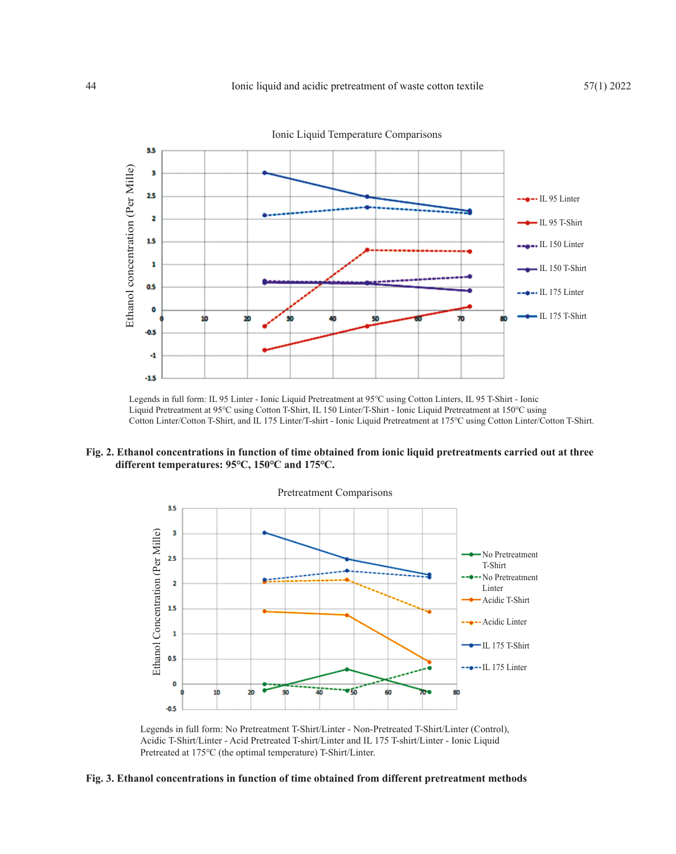

Legends in full form: IL 95 Linter - Ionic Liquid Pretreatment at 95℃ using Cotton Linters, IL 95 T-Shirt - Ionic Liquid Pretreatment at 95℃ using Cotton T-Shirt, IL 150 Linter/T-Shirt - Ionic Liquid Pretreatment at 150℃ using Cotton Linter/Cotton T-Shirt, and IL 175 Linter/T-shirt - Ionic Liquid Pretreatment at 175℃ using Cotton Linter/Cotton T-Shirt.

**Fig. 2. Ethanol concentrations in function of time obtained from ionic liquid pretreatments carried out at three different temperatures: 95℃, 150℃ and 175℃.** 



Legends in full form: No Pretreatment T-Shirt/Linter - Non-Pretreated T-Shirt/Linter (Control), Acidic T-Shirt/Linter - Acid Pretreated T-shirt/Linter and IL 175 T-shirt/Linter - Ionic Liquid Pretreated at 175℃ (the optimal temperature) T-Shirt/Linter.

## **Fig. 3. Ethanol concentrations in function of time obtained from different pretreatment methods**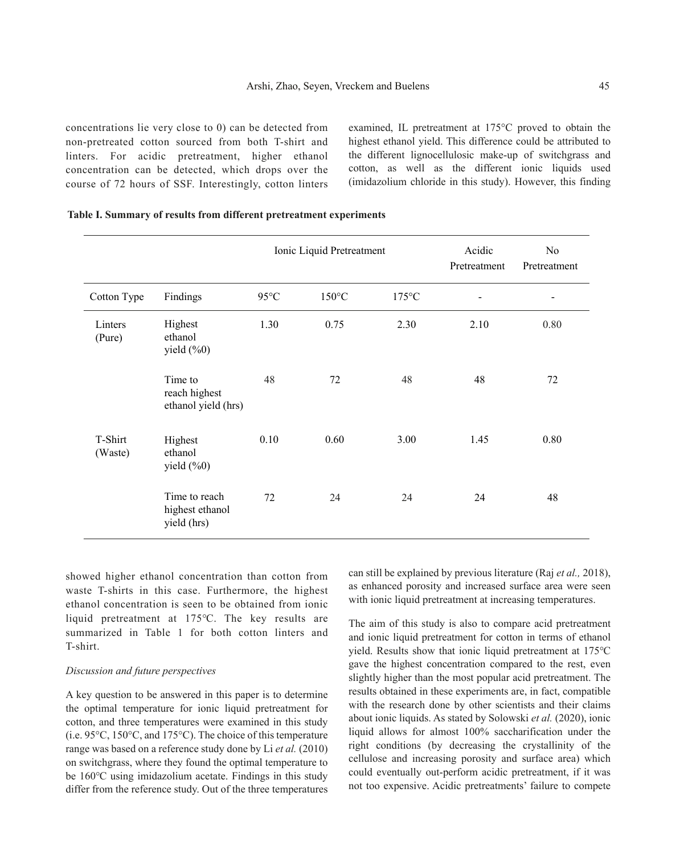concentrations lie very close to 0) can be detected from non-pretreated cotton sourced from both T-shirt and linters. For acidic pretreatment, higher ethanol concentration can be detected, which drops over the course of 72 hours of SSF. Interestingly, cotton linters

examined, IL pretreatment at 175°C proved to obtain the highest ethanol yield. This difference could be attributed to the different lignocellulosic make-up of switchgrass and cotton, as well as the different ionic liquids used (imidazolium chloride in this study). However, this finding

|                    |                                                 | Ionic Liquid Pretreatment |                 |                 | Acidic<br>Pretreatment | No<br>Pretreatment       |
|--------------------|-------------------------------------------------|---------------------------|-----------------|-----------------|------------------------|--------------------------|
| Cotton Type        | Findings                                        | $95^{\circ}$ C            | $150^{\circ}$ C | $175^{\circ}$ C |                        | $\overline{\phantom{a}}$ |
| Linters<br>(Pure)  | Highest<br>ethanol<br>yield $(\%0)$             | 1.30                      | 0.75            | 2.30            | 2.10                   | 0.80                     |
|                    | Time to<br>reach highest<br>ethanol yield (hrs) | 48                        | 72              | 48              | 48                     | 72                       |
| T-Shirt<br>(Waste) | Highest<br>ethanol<br>yield $(\%0)$             | 0.10                      | 0.60            | 3.00            | 1.45                   | 0.80                     |
|                    | Time to reach<br>highest ethanol<br>yield (hrs) | 72                        | 24              | 24              | 24                     | 48                       |

#### **Table I. Summary of results from different pretreatment experiments**

showed higher ethanol concentration than cotton from waste T-shirts in this case. Furthermore, the highest ethanol concentration is seen to be obtained from ionic liquid pretreatment at 175℃. The key results are summarized in Table 1 for both cotton linters and T-shirt.

# *Discussion and future perspectives*

A key question to be answered in this paper is to determine the optimal temperature for ionic liquid pretreatment for cotton, and three temperatures were examined in this study (i.e. 95°C, 150°C, and 175°C). The choice of this temperature range was based on a reference study done by Li *et al.* (2010) on switchgrass, where they found the optimal temperature to be 160℃ using imidazolium acetate. Findings in this study differ from the reference study. Out of the three temperatures

can still be explained by previous literature (Raj *et al.,* 2018), as enhanced porosity and increased surface area were seen with ionic liquid pretreatment at increasing temperatures.

The aim of this study is also to compare acid pretreatment and ionic liquid pretreatment for cotton in terms of ethanol yield. Results show that ionic liquid pretreatment at 175℃ gave the highest concentration compared to the rest, even slightly higher than the most popular acid pretreatment. The results obtained in these experiments are, in fact, compatible with the research done by other scientists and their claims about ionic liquids. As stated by Solowski *et al.* (2020), ionic liquid allows for almost 100% saccharification under the right conditions (by decreasing the crystallinity of the cellulose and increasing porosity and surface area) which could eventually out-perform acidic pretreatment, if it was not too expensive. Acidic pretreatments' failure to compete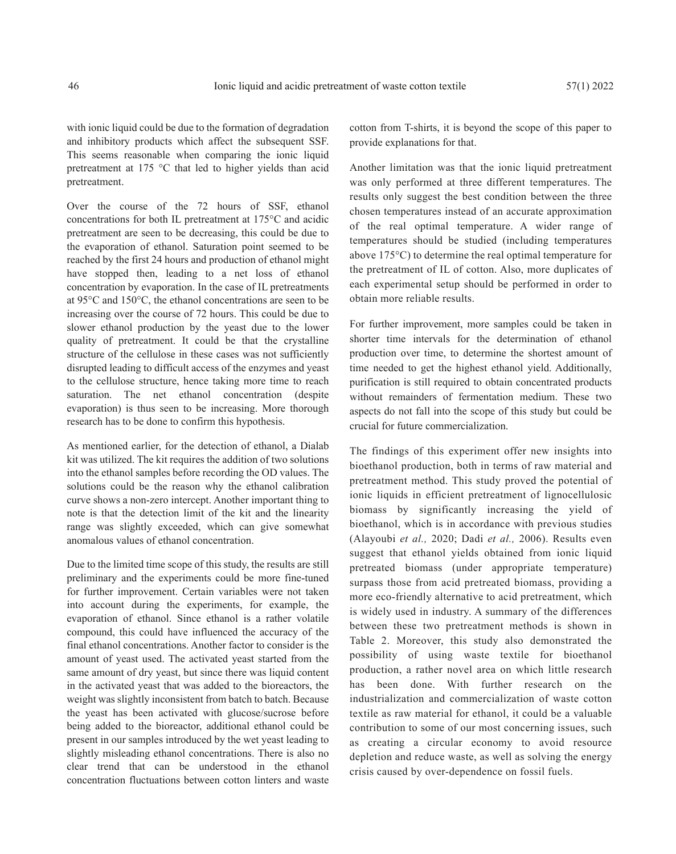with ionic liquid could be due to the formation of degradation and inhibitory products which affect the subsequent SSF. This seems reasonable when comparing the ionic liquid pretreatment at 175 °C that led to higher yields than acid pretreatment.

Over the course of the 72 hours of SSF, ethanol concentrations for both IL pretreatment at 175°C and acidic pretreatment are seen to be decreasing, this could be due to the evaporation of ethanol. Saturation point seemed to be reached by the first 24 hours and production of ethanol might have stopped then, leading to a net loss of ethanol concentration by evaporation. In the case of IL pretreatments at 95°C and 150°C, the ethanol concentrations are seen to be increasing over the course of 72 hours. This could be due to slower ethanol production by the yeast due to the lower quality of pretreatment. It could be that the crystalline structure of the cellulose in these cases was not sufficiently disrupted leading to difficult access of the enzymes and yeast to the cellulose structure, hence taking more time to reach saturation. The net ethanol concentration (despite evaporation) is thus seen to be increasing. More thorough research has to be done to confirm this hypothesis.

As mentioned earlier, for the detection of ethanol, a Dialab kit was utilized. The kit requires the addition of two solutions into the ethanol samples before recording the OD values. The solutions could be the reason why the ethanol calibration curve shows a non-zero intercept. Another important thing to note is that the detection limit of the kit and the linearity range was slightly exceeded, which can give somewhat anomalous values of ethanol concentration.

Due to the limited time scope of this study, the results are still preliminary and the experiments could be more fine-tuned for further improvement. Certain variables were not taken into account during the experiments, for example, the evaporation of ethanol. Since ethanol is a rather volatile compound, this could have influenced the accuracy of the final ethanol concentrations. Another factor to consider is the amount of yeast used. The activated yeast started from the same amount of dry yeast, but since there was liquid content in the activated yeast that was added to the bioreactors, the weight was slightly inconsistent from batch to batch. Because the yeast has been activated with glucose/sucrose before being added to the bioreactor, additional ethanol could be present in our samples introduced by the wet yeast leading to slightly misleading ethanol concentrations. There is also no clear trend that can be understood in the ethanol concentration fluctuations between cotton linters and waste

cotton from T-shirts, it is beyond the scope of this paper to provide explanations for that.

Another limitation was that the ionic liquid pretreatment was only performed at three different temperatures. The results only suggest the best condition between the three chosen temperatures instead of an accurate approximation of the real optimal temperature. A wider range of temperatures should be studied (including temperatures above 175°C) to determine the real optimal temperature for the pretreatment of IL of cotton. Also, more duplicates of each experimental setup should be performed in order to obtain more reliable results.

For further improvement, more samples could be taken in shorter time intervals for the determination of ethanol production over time, to determine the shortest amount of time needed to get the highest ethanol yield. Additionally, purification is still required to obtain concentrated products without remainders of fermentation medium. These two aspects do not fall into the scope of this study but could be crucial for future commercialization.

The findings of this experiment offer new insights into bioethanol production, both in terms of raw material and pretreatment method. This study proved the potential of ionic liquids in efficient pretreatment of lignocellulosic biomass by significantly increasing the yield of bioethanol, which is in accordance with previous studies (Alayoubi *et al.,* 2020; Dadi *et al.,* 2006). Results even suggest that ethanol yields obtained from ionic liquid pretreated biomass (under appropriate temperature) surpass those from acid pretreated biomass, providing a more eco-friendly alternative to acid pretreatment, which is widely used in industry. A summary of the differences between these two pretreatment methods is shown in Table 2. Moreover, this study also demonstrated the possibility of using waste textile for bioethanol production, a rather novel area on which little research has been done. With further research on the industrialization and commercialization of waste cotton textile as raw material for ethanol, it could be a valuable contribution to some of our most concerning issues, such as creating a circular economy to avoid resource depletion and reduce waste, as well as solving the energy crisis caused by over-dependence on fossil fuels.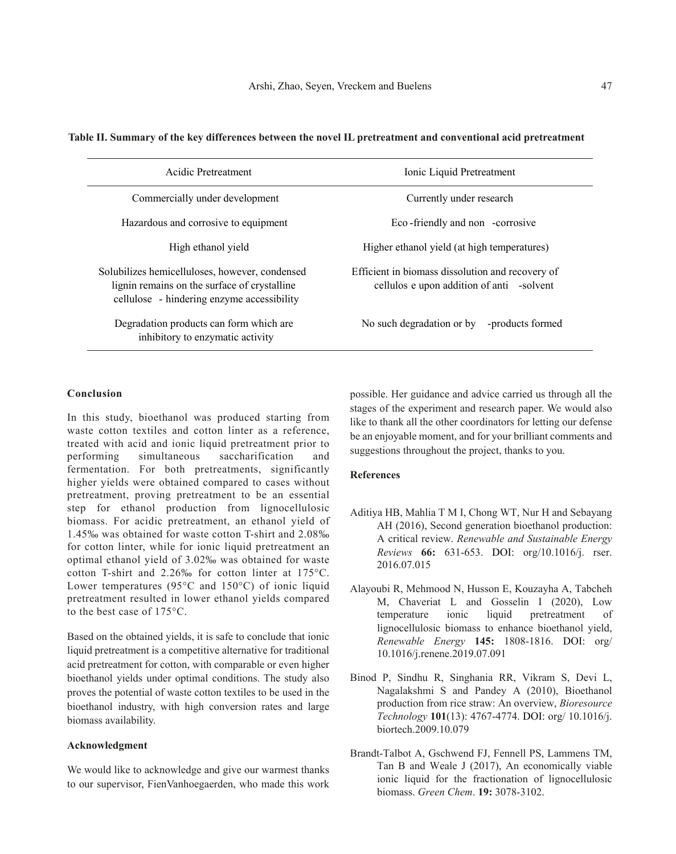| Acidic Pretreatment                                                                                                                          | Ionic Liquid Pretreatment                                                                     |  |  |  |
|----------------------------------------------------------------------------------------------------------------------------------------------|-----------------------------------------------------------------------------------------------|--|--|--|
| Commercially under development                                                                                                               | Currently under research                                                                      |  |  |  |
| Hazardous and corrosive to equipment                                                                                                         | Eco-friendly and non -corrosive                                                               |  |  |  |
| High ethanol yield                                                                                                                           | Higher ethanol yield (at high temperatures)                                                   |  |  |  |
| Solubilizes hemicelluloses, however, condensed<br>lignin remains on the surface of crystalline<br>cellulose - hindering enzyme accessibility | Efficient in biomass dissolution and recovery of<br>cellulos e upon addition of anti -solvent |  |  |  |
| Degradation products can form which are<br>inhibitory to enzymatic activity                                                                  | No such degradation or by<br>-products formed                                                 |  |  |  |

# **Table II. Summary of the key differences between the novel IL pretreatment and conventional acid pretreatment**

# **Conclusion**

In this study, bioethanol was produced starting from waste cotton textiles and cotton linter as a reference, treated with acid and ionic liquid pretreatment prior to performing simultaneous saccharification and fermentation. For both pretreatments, significantly higher yields were obtained compared to cases without pretreatment, proving pretreatment to be an essential step for ethanol production from lignocellulosic biomass. For acidic pretreatment, an ethanol yield of 1.45‰ was obtained for waste cotton T-shirt and 2.08‰ for cotton linter, while for ionic liquid pretreatment an optimal ethanol yield of 3.02‰ was obtained for waste cotton T-shirt and 2.26‰ for cotton linter at 175°C. Lower temperatures (95°C and 150°C) of ionic liquid pretreatment resulted in lower ethanol yields compared to the best case of 175°C.

Based on the obtained yields, it is safe to conclude that ionic liquid pretreatment is a competitive alternative for traditional acid pretreatment for cotton, with comparable or even higher bioethanol yields under optimal conditions. The study also proves the potential of waste cotton textiles to be used in the bioethanol industry, with high conversion rates and large biomass availability.

## **Acknowledgment**

We would like to acknowledge and give our warmest thanks to our supervisor, FienVanhoegaerden, who made this work possible. Her guidance and advice carried us through all the stages of the experiment and research paper. We would also like to thank all the other coordinators for letting our defense be an enjoyable moment, and for your brilliant comments and suggestions throughout the project, thanks to you.

## **References**

- Aditiya HB, Mahlia T M I, Chong WT, Nur H and Sebayang AH (2016), Second generation bioethanol production: A critical review. *Renewable and Sustainable Energy Reviews* **66:** 631-653. DOI: org/10.1016/j. rser. 2016.07.015
- Alayoubi R, Mehmood N, Husson E, Kouzayha A, Tabcheh M, Chaveriat L and Gosselin I (2020), Low temperature ionic liquid pretreatment of lignocellulosic biomass to enhance bioethanol yield, *Renewable Energy* **145:** 1808-1816. DOI: org/ 10.1016/j.renene.2019.07.091
- Binod P, Sindhu R, Singhania RR, Vikram S, Devi L, Nagalakshmi S and Pandey A (2010), Bioethanol production from rice straw: An overview, *Bioresource Technology* **101**(13): 4767-4774. DOI: org/ 10.1016/j. biortech.2009.10.079
- Brandt-Talbot A, Gschwend FJ, Fennell PS, Lammens TM, Tan B and Weale J (2017), An economically viable ionic liquid for the fractionation of lignocellulosic biomass. *Green Chem*. **19:** 3078-3102.